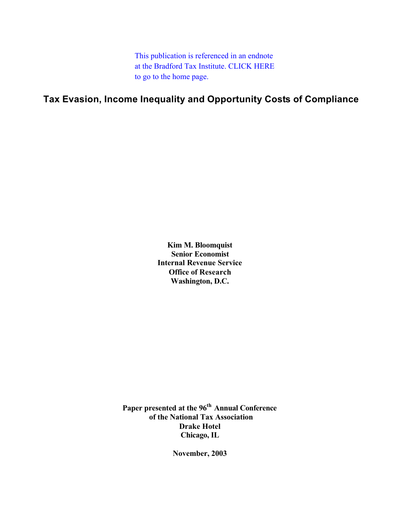This publication is referenced in an endnote [at the Bradford Tax Institute. CLICK HERE](http://www.bradfordtaxinstitute.com/)  to go to the home page.

**Tax Evasion, Income Inequality and Opportunity Costs of Compliance**

**Kim M. Bloomquist Senior Economist Internal Revenue Service Office of Research Washington, D.C.** 

Paper presented at the 96<sup>th</sup> Annual Conference  **of the National Tax Association Drake Hotel Chicago, IL**

**November, 2003**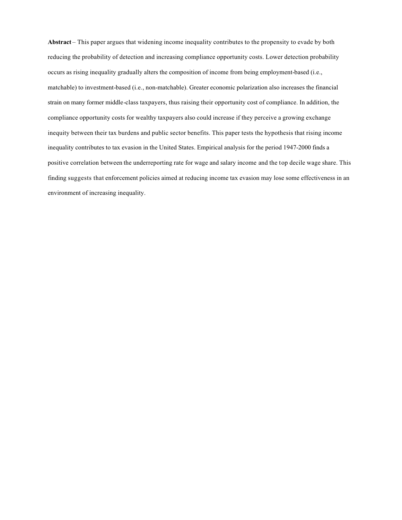**Abstract** – This paper argues that widening income inequality contributes to the propensity to evade by both reducing the probability of detection and increasing compliance opportunity costs. Lower detection probability occurs as rising inequality gradually alters the composition of income from being employment-based (i.e., matchable) to investment-based (i.e., non-matchable). Greater economic polarization also increases the financial strain on many former middle-class taxpayers, thus raising their opportunity cost of compliance. In addition, the compliance opportunity costs for wealthy taxpayers also could increase if they perceive a growing exchange inequity between their tax burdens and public sector benefits. This paper tests the hypothesis that rising income inequality contributes to tax evasion in the United States. Empirical analysis for the period 1947-2000 finds a positive correlation between the underreporting rate for wage and salary income and the top decile wage share. This finding suggests that enforcement policies aimed at reducing income tax evasion may lose some effectiveness in an environment of increasing inequality.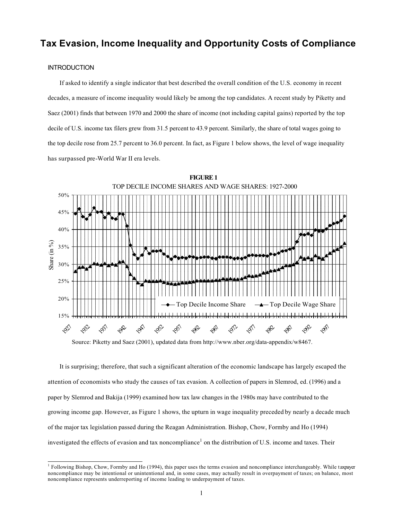# **Tax Evasion, Income Inequality and Opportunity Costs of Compliance**

### **INTRODUCTION**

If asked to identify a single indicator that best described the overall condition of the U.S. economy in recent decades, a measure of income inequality would likely be among the top candidates. A recent study by Piketty and Saez (2001) finds that between 1970 and 2000 the share of income (not including capital gains) reported by the top decile of U.S. income tax filers grew from 31.5 percent to 43.9 percent. Similarly, the share of total wages going to the top decile rose from 25.7 percent to 36.0 percent. In fact, as Figure 1 below shows, the level of wage inequality has surpassed pre-World War II era levels.



Source: Piketty and Saez (2001), updated data from http://www.nber.org/data-appendix/w8467.

It is surprising; therefore, that such a significant alteration of the economic landscape has largely escaped the attention of economists who study the causes of tax evasion. A collection of papers in Slemrod, ed. (1996) and a paper by Slemrod and Bakija (1999) examined how tax law changes in the 1980s may have contributed to the growing income gap. However, as Figure 1 shows, the upturn in wage inequality preceded by nearly a decade much of the major tax legislation passed during the Reagan Administration. Bishop, Chow, Formby and Ho (1994) investigated the effects of evasion and tax noncompliance<sup>1</sup> on the distribution of U.S. income and taxes. Their

 $1$  Following Bishop, Chow, Formby and Ho (1994), this paper uses the terms evasion and noncompliance interchangeably. While taxpayer noncompliance may be intentional or unintentional and, in some cases, may actually result in overpayment of taxes; on balance, most noncompliance represents underreporting of income leading to underpayment of taxes.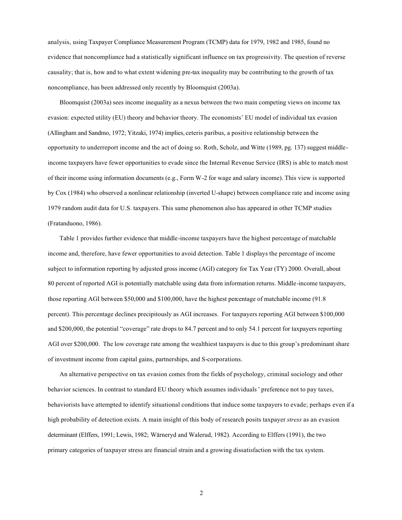analysis, using Taxpayer Compliance Measurement Program (TCMP) data for 1979, 1982 and 1985, found no evidence that noncompliance had a statistically significant influence on tax progressivity. The question of reverse causality; that is, how and to what extent widening pre-tax inequality may be contributing to the growth of tax noncompliance, has been addressed only recently by Bloomquist (2003a).

Bloomquist (2003a) sees income inequality as a nexus between the two main competing views on income tax evasion: expected utility (EU) theory and behavior theory. The economists' EU model of individual tax evasion (Allingham and Sandmo, 1972; Yitzaki, 1974) implies, ceteris paribus, a positive relationship between the opportunity to underreport income and the act of doing so. Roth, Scholz, and Witte (1989, pg. 137) suggest middleincome taxpayers have fewer opportunities to evade since the Internal Revenue Service (IRS) is able to match most of their income using information documents (e.g., Form W-2 for wage and salary income). This view is supported by Cox (1984) who observed a nonlinear relationship (inverted U-shape) between compliance rate and income using 1979 random audit data for U.S. taxpayers. This same phenomenon also has appeared in other TCMP studies (Fratanduono, 1986).

Table 1 provides further evidence that middle-income taxpayers have the highest percentage of matchable income and, therefore, have fewer opportunities to avoid detection. Table 1 displays the percentage of income subject to information reporting by adjusted gross income (AGI) category for Tax Year (TY) 2000. Overall, about 80 percent of reported AGI is potentially matchable using data from information returns. Middle-income taxpayers, those reporting AGI between \$50,000 and \$100,000, have the highest percentage of matchable income (91.8 percent). This percentage declines precipitously as AGI increases. For taxpayers reporting AGI between \$100,000 and \$200,000, the potential "coverage" rate drops to 84.7 percent and to only 54.1 percent for taxpayers reporting AGI over \$200,000. The low coverage rate among the wealthiest taxpayers is due to this group's predominant share of investment income from capital gains, partnerships, and S-corporations.

An alternative perspective on tax evasion comes from the fields of psychology, criminal sociology and other behavior sciences. In contrast to standard EU theory which assumes individuals ' preference not to pay taxes, behaviorists have attempted to identify situational conditions that induce some taxpayers to evade; perhaps even if a high probability of detection exists. A main insight of this body of research posits taxpayer *stress* as an evasion determinant (Elffers, 1991; Lewis, 1982; Wärneryd and Walerud, 1982). According to Elffers (1991), the two primary categories of taxpayer stress are financial strain and a growing dissatisfaction with the tax system.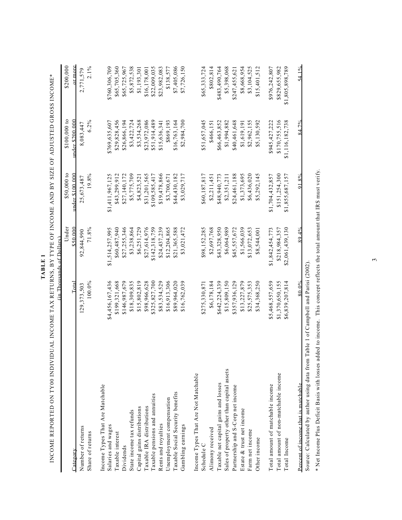|                                             | (in Thousands of Dollars) | Under           | \$50,000 to     | \$100,000 to    | \$200,000       |
|---------------------------------------------|---------------------------|-----------------|-----------------|-----------------|-----------------|
| Category                                    | $\Gamma$ otal             | $\$50.000$      | under \$100.000 | under \$200.000 | or more         |
| Number of returns                           | 129,373,503               | 92,844,990      | 25,673,487      | 8,083,447       | 2,771,579       |
| Share of returns                            | 100.0%                    | 71.8%           | 19.8%           | $6.2\%$         | 2.1%            |
| Income Types That Are Matchable             |                           |                 |                 |                 |                 |
| Salaries and wages                          | \$4,456,167,436           | \$1,514,257,995 | \$1,411,967,125 | \$769,635,607   | \$760,306,709   |
| Taxable interest                            | \$199,321,668             | \$60,487,940    | \$43,299,912    | \$29,828,456    | \$65,705,360    |
| Dividends                                   | \$146,987,679             | \$27,255,346    | \$27,140,172    | \$26,866,194    | \$65,725,967    |
| State income tax refunds                    | \$18,309,835              | \$3,238,864     | \$5,775,709     | \$3,422,724     | \$5,872,538     |
| Capital gains distributions                 | \$15,802,819              | \$6,251,729     | \$4,823,521     | \$3,534,268     | \$1,193,301     |
| Taxable IRA distributions                   | \$98,966,628              | \$27,614,976    | \$31,201,565    | \$23,972,086    | \$16,178,001    |
| Taxable pensions and annuities              | \$325,827,700             | \$142,318,759   | \$109,585,417   | \$51,914,489    | \$22,009,035    |
| Rents and royalties                         | \$83,534,529              | \$24,437,239    | \$19,478,866    | \$15,636,341    | \$23,982,083    |
| Unemployment compensation                   | \$16,913,306              | \$12,204,865    | \$3,700,671     | \$869,193       | \$138,577       |
| Taxable Social Security benefits            | \$89,964,020              | \$21,365,588    | \$44,430,182    | \$16,763,164    | \$7,405,086     |
| Gambling earnings                           | \$16,762,039              | \$3,021,472     | \$3,029,717     | \$2,984,700     | \$7,726,150     |
| Income Types That Are Not Matchable         |                           |                 |                 |                 |                 |
| Schedule C                                  | \$275,330,87              | \$98,152,285    | \$60,187,817    | \$51,657,045    | \$65,333,724    |
| Alimony received                            | \$6,178,184               | \$2,697,768     | \$2,211,451     | \$466,151       | \$802.814       |
| Taxable net capital gains and losses        | \$642,224,339             | \$43,328,950    | \$48,940,773    | \$66,463,852    | \$483,490,764   |
| Sales of property other than capital assets | \$15,809,150              | \$6,064,989     | \$2,351,21      | \$1,994,882     | \$5,398,068     |
| Partnership and S-Corp net income           | \$357,936,129             | \$45,557,672    | \$24,461,188    | \$40,461,648    | \$247,455,621   |
| Estate & trust net income                   | \$13,227,879              | \$1,566,039     | \$1,373,695     | \$1,619,191     | \$8,668,954     |
| Farm net income                             | \$25,575,353              | \$13,072,653    | \$6,436,020     | \$2,962,155     | \$3,104,525     |
| Other income                                | \$34,368,250              | \$8,544,001     | \$5,292,145     | \$5,130,592     | \$15,401,512    |
| Total amount of matchable income            | \$5,468,557,659           | \$1,842,454,773 | \$1,704,432,857 | \$945,427,222   | \$976,242,807   |
| Total amount of non-matchable income        | \$1,370,650,155           | \$218,984,357   | \$151,254,300   | \$170,755,516   | \$829,655,982   |
| Total Income                                | \$6,839,207,814           | \$2,061,439,130 | \$1,855,687,157 | \$1,116,182,738 | \$1,805,898,789 |
| Percent of income that is matchable         | $80.0\%$                  | $89.4\%$        | $91.8\%$        | $84.7\%$        | $54.1\%$        |

TABLE 1  **TABLE 1**

Source: Calculated by author using data from Table 1 of Campbell and Parisi (2002). Source: Calculated by author using data from Table 1 of Campbell and Parisi (2002).

\* Net Income Plus Deficit Basis with losses added to income. This concept reflects the total amount that IRS must verify. \* Net Income Plus Deficit Basis with losses added to income. This concept reflects the total amount that IRS must verify.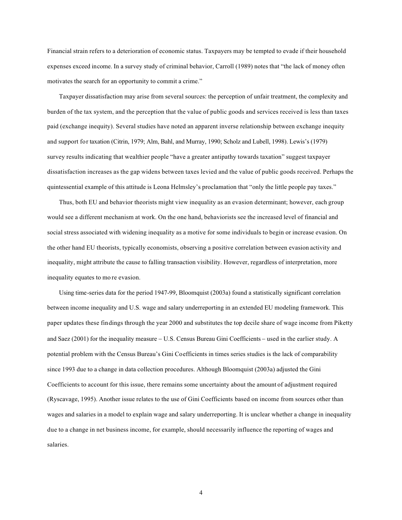Financial strain refers to a deterioration of economic status. Taxpayers may be tempted to evade if their household expenses exceed income. In a survey study of criminal behavior, Carroll (1989) notes that "the lack of money often motivates the search for an opportunity to commit a crime."

Taxpayer dissatisfaction may arise from several sources: the perception of unfair treatment, the complexity and burden of the tax system, and the perception that the value of public goods and services received is less than taxes paid (exchange inequity). Several studies have noted an apparent inverse relationship between exchange inequity and support for taxation (Citrin, 1979; Alm, Bahl, and Murray, 1990; Scholz and Lubell, 1998). Lewis's (1979) survey results indicating that wealthier people "have a greater antipathy towards taxation" suggest taxpayer dissatisfaction increases as the gap widens between taxes levied and the value of public goods received. Perhaps the quintessential example of this attitude is Leona Helmsley's proclamation that "only the little people pay taxes."

Thus, both EU and behavior theorists might view inequality as an evasion determinant; however, each group would see a different mechanism at work. On the one hand, behaviorists see the increased level of financial and social stress associated with widening inequality as a motive for some individuals to begin or increase evasion. On the other hand EU theorists, typically economists, observing a positive correlation between evasion activity and inequality, might attribute the cause to falling transaction visibility. However, regardless of interpretation, more inequality equates to mo re evasion.

Using time-series data for the period 1947-99, Bloomquist (2003a) found a statistically significant correlation between income inequality and U.S. wage and salary underreporting in an extended EU modeling framework. This paper updates these findings through the year 2000 and substitutes the top decile share of wage income from Piketty and Saez (2001) for the inequality measure − U.S. Census Bureau Gini Coefficients − used in the earlier study. A potential problem with the Census Bureau's Gini Coefficients in times series studies is the lack of comparability since 1993 due to a change in data collection procedures. Although Bloomquist (2003a) adjusted the Gini Coefficients to account for this issue, there remains some uncertainty about the amount of adjustment required (Ryscavage, 1995). Another issue relates to the use of Gini Coefficients based on income from sources other than wages and salaries in a model to explain wage and salary underreporting. It is unclear whether a change in inequality due to a change in net business income, for example, should necessarily influence the reporting of wages and salaries.

4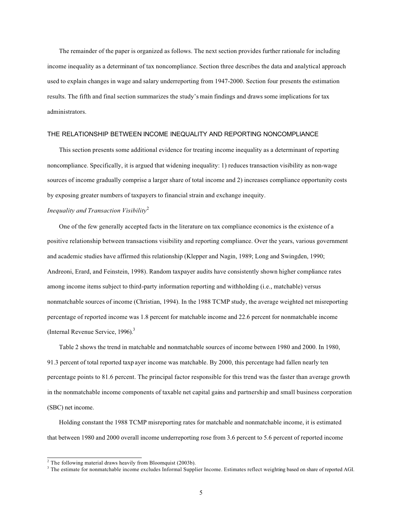The remainder of the paper is organized as follows. The next section provides further rationale for including income inequality as a determinant of tax noncompliance. Section three describes the data and analytical approach used to explain changes in wage and salary underreporting from 1947-2000. Section four presents the estimation results. The fifth and final section summarizes the study's main findings and draws some implications for tax administrators.

#### THE RELATIONSHIP BETWEEN INCOME INEQUALITY AND REPORTING NONCOMPLIANCE

This section presents some additional evidence for treating income inequality as a determinant of reporting noncompliance. Specifically, it is argued that widening inequality: 1) reduces transaction visibility as non-wage sources of income gradually comprise a larger share of total income and 2) increases compliance opportunity costs by exposing greater numbers of taxpayers to financial strain and exchange inequity.

# *Inequality and Transaction Visibility*<sup>2</sup>

One of the few generally accepted facts in the literature on tax compliance economics is the existence of a positive relationship between transactions visibility and reporting compliance. Over the years, various government and academic studies have affirmed this relationship (Klepper and Nagin, 1989; Long and Swingden, 1990; Andreoni, Erard, and Feinstein, 1998). Random taxpayer audits have consistently shown higher compliance rates among income items subject to third-party information reporting and withholding (i.e., matchable) versus nonmatchable sources of income (Christian, 1994). In the 1988 TCMP study, the average weighted net misreporting percentage of reported income was 1.8 percent for matchable income and 22.6 percent for nonmatchable income (Internal Revenue Service, 1996).3

Table 2 shows the trend in matchable and nonmatchable sources of income between 1980 and 2000. In 1980, 91.3 percent of total reported taxp ayer income was matchable. By 2000, this percentage had fallen nearly ten percentage points to 81.6 percent. The principal factor responsible for this trend was the faster than average growth in the nonmatchable income components of taxable net capital gains and partnership and small business corporation (SBC) net income.

Holding constant the 1988 TCMP misreporting rates for matchable and nonmatchable income, it is estimated that between 1980 and 2000 overall income underreporting rose from 3.6 percent to 5.6 percent of reported income

 $2$  The following material draws heavily from Bloomquist (2003b).

<sup>&</sup>lt;sup>3</sup> The estimate for nonmatchable income excludes Informal Supplier Income. Estimates reflect weighting based on share of reported AGI.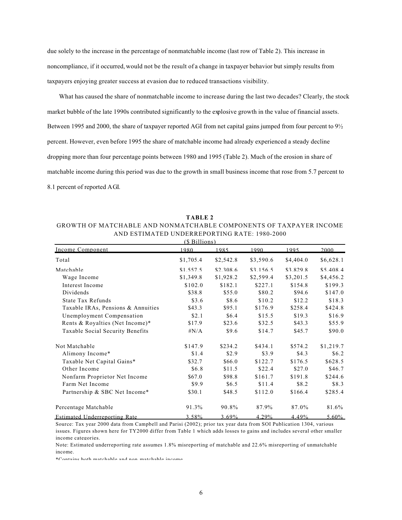due solely to the increase in the percentage of nonmatchable income (last row of Table 2). This increase in noncompliance, if it occurred, would not be the result of a change in taxpayer behavior but simply results from taxpayers enjoying greater success at evasion due to reduced transactions visibility.

What has caused the share of nonmatchable income to increase during the last two decades? Clearly, the stock market bubble of the late 1990s contributed significantly to the explosive growth in the value of financial assets. Between 1995 and 2000, the share of taxpayer reported AGI from net capital gains jumped from four percent to 9½ percent. However, even before 1995 the share of matchable income had already experienced a steady decline dropping more than four percentage points between 1980 and 1995 (Table 2). Much of the erosion in share of matchable income during this period was due to the growth in small business income that rose from 5.7 percent to 8.1 percent of reported AGI.

| AND ESTIMATED UNDERREI URTING RATE, 1700-2000<br>(\$Billions) |           |           |           |           |           |  |  |  |  |
|---------------------------------------------------------------|-----------|-----------|-----------|-----------|-----------|--|--|--|--|
| Income Component                                              | 1980      | 1985      | 1990      | 1995      | 2000      |  |  |  |  |
| Total                                                         | \$1,705.4 | \$2,542.8 | \$3,590.6 | \$4,404.0 | \$6,628.1 |  |  |  |  |
| Matchable                                                     | \$1.557.5 | \$2.308.6 | \$3.156.5 | \$3.829.8 | \$5,408.4 |  |  |  |  |
| Wage Income                                                   | \$1,349.8 | \$1,928.2 | \$2,599.4 | \$3,201.5 | \$4,456.2 |  |  |  |  |
| Interest Income                                               | \$102.0   | \$182.1   | \$227.1   | \$154.8   | \$199.3   |  |  |  |  |
| Dividends                                                     | \$38.8    | \$55.0    | \$80.2    | \$94.6    | \$147.0   |  |  |  |  |
| State Tax Refunds                                             | \$3.6     | \$8.6     | \$10.2    | \$12.2    | \$18.3    |  |  |  |  |
| Taxable IRAs, Pensions & Annuities                            | \$43.3    | \$95.1    | \$176.9   | \$258.4   | \$424.8   |  |  |  |  |
| Unemployment Compensation                                     | \$2.1     | \$6.4     | \$15.5    | \$19.3    | \$16.9    |  |  |  |  |
| Rents & Royalties (Net Income)*                               | \$17.9    | \$23.6    | \$32.5    | \$43.3    | \$55.9    |  |  |  |  |
| Taxable Social Security Benefits                              | $\#N/A$   | \$9.6     | \$14.7    | \$45.7    | \$90.0    |  |  |  |  |
| Not Matchable                                                 | \$147.9   | \$234.2   | \$434.1   | \$574.2   | \$1,219.7 |  |  |  |  |
| Alimony Income*                                               | \$1.4     | \$2.9     | \$3.9     | \$4.3     | \$6.2\$   |  |  |  |  |
| Taxable Net Capital Gains*                                    | \$32.7    | \$66.0    | \$122.7   | \$176.5   | \$628.5   |  |  |  |  |
| Other Income                                                  | \$6.8     | \$11.5    | \$22.4    | \$27.0    | \$46.7    |  |  |  |  |
| Nonfarm Proprietor Net Income                                 | \$67.0    | \$98.8    | \$161.7   | \$191.8   | \$244.6   |  |  |  |  |
| Farm Net Income                                               | \$9.9     | \$6.5     | \$11.4    | \$8.2     | \$8.3     |  |  |  |  |
| Partnership & SBC Net Income*                                 | \$30.1    | \$48.5    | \$112.0   | \$166.4   | \$285.4   |  |  |  |  |
| Percentage Matchable                                          | 91.3%     | 90.8%     | 87.9%     | 87.0%     | 81.6%     |  |  |  |  |
| Estimated Underreporting Rate                                 | 3.58%     | $3.69\%$  | 4.29%     | 4.49%     | $5.60\%$  |  |  |  |  |

GROWTH OF MATCHABLE AND NONMATCHABLE COMPONENTS OF TAXPAYER INCOME AND ESTIMATED UNDERREPORTING RATE: 1980-2000

**TABLE 2**

Source: Tax year 2000 data from Campbell and Parisi (2002); prior tax year data from SOI Publication 1304, various issues. Figures shown here for TY2000 differ from Table 1 which adds losses to gains and includes several other smaller income categories.

Note: Estimated underreporting rate assumes 1.8% misreporting of matchable and 22.6% misreporting of unmatchable income.

\*Contains both matchable and non matchable income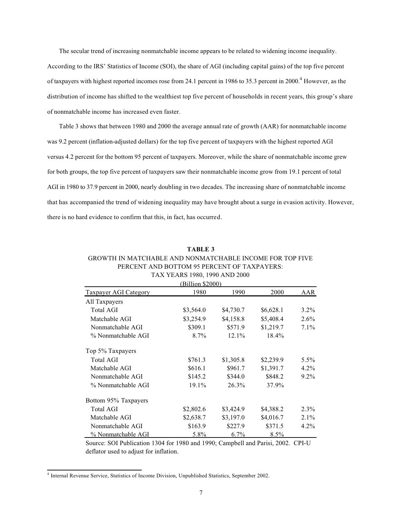The secular trend of increasing nonmatchable income appears to be related to widening income inequality. According to the IRS' Statistics of Income (SOI), the share of AGI (including capital gains) of the top five percent of taxpayers with highest reported incomes rose from 24.1 percent in 1986 to 35.3 percent in 2000.<sup>4</sup> However, as the distribution of income has shifted to the wealthiest top five percent of households in recent years, this group's share of nonmatchable income has increased even faster.

Table 3 shows that between 1980 and 2000 the average annual rate of growth (AAR) for nonmatchable income was 9.2 percent (inflation-adjusted dollars) for the top five percent of taxpayers with the highest reported AGI versus 4.2 percent for the bottom 95 percent of taxpayers. Moreover, while the share of nonmatchable income grew for both groups, the top five percent of taxpayers saw their nonmatchable income grow from 19.1 percent of total AGI in 1980 to 37.9 percent in 2000, nearly doubling in two decades. The increasing share of nonmatchable income that has accompanied the trend of widening inequality may have brought about a surge in evasion activity. However, there is no hard evidence to confirm that this, in fact, has occurred.

# **TABLE 3**

# GROWTH IN MATCHABLE AND NONMATCHABLE INCOME FOR TOP FIVE PERCENT AND BOTTOM 95 PERCENT OF TAXPAYERS: TAX YEARS 1980, 1990 AND 2000

| (Billion \$2000)      |           |           |           |         |  |  |  |  |
|-----------------------|-----------|-----------|-----------|---------|--|--|--|--|
| Taxpayer AGI Category | 1980      | 1990      | 2000      | AAR     |  |  |  |  |
| All Taxpayers         |           |           |           |         |  |  |  |  |
| Total AGI             | \$3,564.0 | \$4,730.7 | \$6,628.1 | $3.2\%$ |  |  |  |  |
| Matchable AGI         | \$3,254.9 | \$4,158.8 | \$5,408.4 | $2.6\%$ |  |  |  |  |
| Nonmatchable AGI      | \$309.1   | \$571.9   | \$1,219.7 | $7.1\%$ |  |  |  |  |
| % Nonmatchable AGI    | $8.7\%$   | $12.1\%$  | 18.4%     |         |  |  |  |  |
| Top 5% Taxpayers      |           |           |           |         |  |  |  |  |
| Total AGI             | \$761.3   | \$1,305.8 | \$2,239.9 | $5.5\%$ |  |  |  |  |
| Matchable AGI         | \$616.1   | \$961.7   | \$1,391.7 | $4.2\%$ |  |  |  |  |
| Nonmatchable AGI      | \$145.2   | \$344.0   | \$848.2   | $9.2\%$ |  |  |  |  |
| % Nonmatchable AGI    | 19.1%     | 26.3%     | 37.9%     |         |  |  |  |  |
| Bottom 95% Taxpayers  |           |           |           |         |  |  |  |  |
| Total AGI             | \$2,802.6 | \$3,424.9 | \$4,388.2 | $2.3\%$ |  |  |  |  |
| Matchable AGI         | \$2,638.7 | \$3,197.0 | \$4,016.7 | $2.1\%$ |  |  |  |  |
| Nonmatchable AGI      | \$163.9   | \$227.9   | \$371.5   | $4.2\%$ |  |  |  |  |
| % Nonmatchable AGI    | 5.8%      | $6.7\%$   | $8.5\%$   |         |  |  |  |  |

Source: SOI Publication 1304 for 1980 and 1990; Campbell and Parisi, 2002. CPI-U deflator used to adjust for inflation.

<sup>4</sup> Internal Revenue Service, Statistics of Income Division, Unpublished Statistics, September 2002.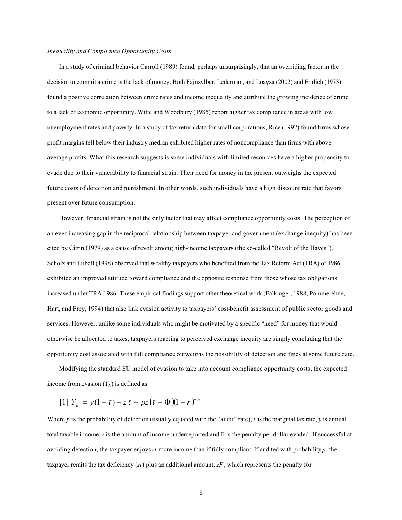#### *Inequality and Compliance Opportunity Costs*

In a study of criminal behavior Carroll (1989) found, perhaps unsurprisingly, that an overriding factor in the decision to commit a crime is the lack of money. Both Fajnzylber, Lederman, and Loayza (2002) and Ehrlich (1973) found a positive correlation between crime rates and income inequality and attribute the growing incidence of crime to a lack of economic opportunity. Witte and Woodbury (1985) report higher tax compliance in areas with low unemployment rates and poverty. In a study of tax return data for small corporations, Rice (1992) found firms whose profit margins fell below their industry median exhibited higher rates of noncompliance than firms with above average profits. What this research suggests is some individuals with limited resources have a higher propensity to evade due to their vulnerability to financial strain. Their need for money in the present outweighs the expected future costs of detection and punishment. In other words, such individuals have a high discount rate that favors present over future consumption.

However, financial strain is not the only factor that may affect compliance opportunity costs. The perception of an ever-increasing gap in the reciprocal relationship between taxpayer and government (exchange inequity) has been cited by Citrin (1979) as a cause of revolt among high-income taxpayers (the so-called "Revolt of the Haves"). Scholz and Lubell (1998) observed that wealthy taxpayers who benefited from the Tax Reform Act (TRA) of 1986 exhibited an improved attitude toward compliance and the opposite response from those whose tax obligations increased under TRA 1986. These empirical findings support other theoretical work (Falkinger, 1988; Pommerehne, Hart, and Frey, 1994) that also link evasion activity to taxpayers' cost-benefit assessment of public sector goods and services. However, unlike some individuals who might be motivated by a specific "need" for money that would otherwise be allocated to taxes, taxpayers reacting to perceived exchange inequity are simply concluding that the opportunity cost associated with full compliance outweighs the possibility of detection and fines at some future date.

Modifying the standard EU model of evasion to take into account compliance opportunity costs, the expected income from evasion  $(Y_E)$  is defined as

 $[1]$   $Y_E = y(1-\tau) + z\tau - pz(\tau + \Phi)(1+r)^{-n}$ 

Where  $p$  is the probability of detection (usually equated with the "audit" rate),  $t$  is the marginal tax rate,  $y$  is annual total taxable income, *z* is the amount of income underreported and F is the penalty per dollar evaded. If successful at avoiding detection, the taxpayer enjoys *zt* more income than if fully compliant. If audited with probability *p*, the taxpayer remits the tax deficiency  $(zt)$  plus an additional amount,  $zF$ , which represents the penalty for

8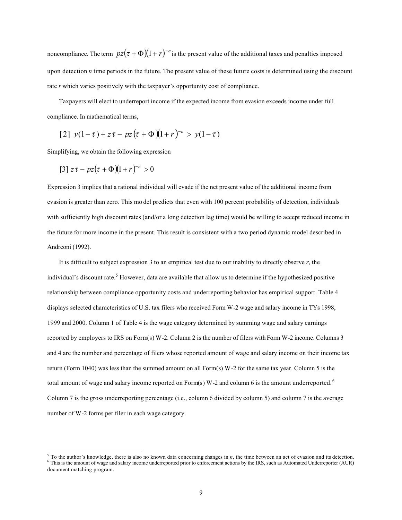noncompliance. The term  $pz(\tau + \Phi)(1+r)^{-n}$  is the present value of the additional taxes and penalties imposed upon detection *n* time periods in the future. The present value of these future costs is determined using the discount rate *r* which varies positively with the taxpayer's opportunity cost of compliance.

Taxpayers will elect to underreport income if the expected income from evasion exceeds income under full compliance. In mathematical terms,

$$
[2] y(1-\tau) + z\tau - pz(\tau + \Phi)(1+r)^{-n} > y(1-\tau)
$$

Simplifying, we obtain the following expression

$$
[3] z\tau - pz(\tau + \Phi)(1+r)^{-n} > 0
$$

Expression 3 implies that a rational individual will evade if the net present value of the additional income from evasion is greater than zero. This mo del predicts that even with 100 percent probability of detection, individuals with sufficiently high discount rates (and/or a long detection lag time) would be willing to accept reduced income in the future for more income in the present. This result is consistent with a two period dynamic model described in Andreoni (1992).

It is difficult to subject expression 3 to an empirical test due to our inability to directly observe *r*, the individual's discount rate.<sup>5</sup> However, data are available that allow us to determine if the hypothesized positive relationship between compliance opportunity costs and underreporting behavior has empirical support. Table 4 displays selected characteristics of U.S. tax filers who received Form W-2 wage and salary income in TYs 1998, 1999 and 2000. Column 1 of Table 4 is the wage category determined by summing wage and salary earnings reported by employers to IRS on Form(s) W-2. Column 2 is the number of filers with Form W-2 income. Columns 3 and 4 are the number and percentage of filers whose reported amount of wage and salary income on their income tax return (Form 1040) was less than the summed amount on all Form(s) W-2 for the same tax year. Column 5 is the total amount of wage and salary income reported on Form(s) W-2 and column 6 is the amount underreported.<sup>6</sup> Column 7 is the gross underreporting percentage (i.e., column 6 divided by column 5) and column 7 is the average number of W-2 forms per filer in each wage category.

<sup>&</sup>lt;sup>5</sup> To the author's knowledge, there is also no known data concerning changes in *n*, the time between an act of evasion and its detection. <sup>6</sup> This is the amount of wage and salary income underreported prior to enforcement actions by the IRS, such as Automated Underreporter (AUR) document matching program.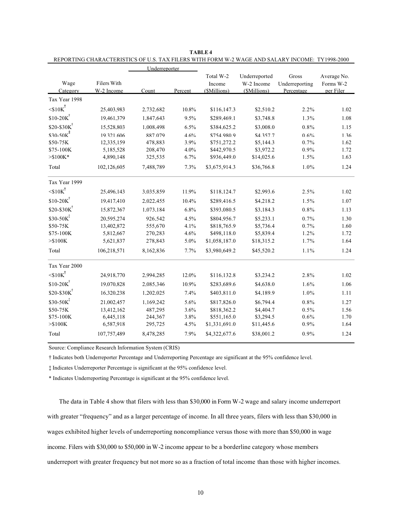|                           |             | Underreporter |         |               |               |                |             |
|---------------------------|-------------|---------------|---------|---------------|---------------|----------------|-------------|
|                           |             |               |         | Total W-2     | Underreported | Gross          | Average No. |
| Wage                      | Filers With |               |         | Income        | W-2 Income    | Underreporting | Forms W-2   |
| Category                  | W-2 Income  | Count         | Percent | (\$Millions)  | (\$Millions)  | Percentage     | per Filer   |
| Tax Year 1998             |             |               |         |               |               |                |             |
| $\leq 10K^{\dagger}$      | 25.403.983  | 2.732.682     | 10.8%   | \$116.147.3   | \$2.510.2     | 2.2%           | 1.02        |
| $$10-20K$                 | 19.461.379  | 1.847.643     | 9.5%    | \$289.469.1   | \$3.748.8     | 1.3%           | 1.08        |
| $$20-$30K$                | 15.528.803  | 1.008.498     | 6.5%    | \$384,625.2   | \$3,008.0     | 0.8%           | 1.15        |
| $$30-50K^{\ddagger}$$     | 19.321.606  | 887.079       | 4.6%    | \$754.980.9   | \$4.357.7     | 0.6%           | 1.36        |
| \$50-75K                  | 12,335,159  | 478,883       | 3.9%    | \$751,272.2   | \$5,144.3     | 0.7%           | 1.62        |
| \$75-100K                 | 5,185,528   | 208,470       | 4.0%    | \$442,970.5   | \$3,972.2     | 0.9%           | 1.72        |
| $> $100K^*$               | 4,890,148   | 325,535       | 6.7%    | \$936,449.0   | \$14,025.6    | 1.5%           | 1.63        |
| Total                     | 102,126,605 | 7,488,789     | 7.3%    | \$3,675,914.3 | \$36,766.8    | 1.0%           | 1.24        |
| Tax Year 1999             |             |               |         |               |               |                |             |
| $10K$ <sup>+</sup>        | 25,496,143  | 3,035,859     | 11.9%   | \$118,124.7   | \$2,993.6     | 2.5%           | 1.02        |
| $$10-20K$                 | 19,417,410  | 2,022,455     | 10.4%   | \$289,416.5   | \$4,218.2     | 1.5%           | 1.07        |
| $$20-$30K$                | 15,872,367  | 1,073,184     | 6.8%    | \$393,080.5   | \$3,184.3     | 0.8%           | 1.13        |
| $$30-50K^2$               | 20,595,274  | 926,542       | 4.5%    | \$804,956.7   | \$5,233.1     | 0.7%           | 1.30        |
| \$50-75K                  | 13,402,872  | 555,670       | 4.1%    | \$818,765.9   | \$5,736.4     | 0.7%           | 1.60        |
| \$75-100K                 | 5,812,667   | 270,283       | 4.6%    | \$498,118.0   | \$5,839.4     | 1.2%           | 1.72        |
| $>\!\!\$100K$             | 5,621,837   | 278,843       | 5.0%    | \$1,058,187.0 | \$18,315.2    | 1.7%           | 1.64        |
| Total                     | 106,218,571 | 8,162,836     | 7.7%    | \$3,980,649.2 | \$45,520.2    | 1.1%           | 1.24        |
| Tax Year 2000             |             |               |         |               |               |                |             |
| $<$ \$10 $K$ <sup>†</sup> | 24,918,770  | 2,994,285     | 12.0%   | \$116,132.8   | \$3,234.2     | 2.8%           | 1.02        |
| $$10-20K$                 | 19,070,828  | 2,085,346     | 10.9%   | \$283,689.6   | \$4,638.0     | 1.6%           | 1.06        |
| $$20-$30K$                | 16,320,238  | 1,202,025     | 7.4%    | \$403,811.0   | \$4,189.9     | 1.0%           | 1.11        |
| $$30-50K^{\ddagger}$      | 21,002,457  | 1,169,242     | 5.6%    | \$817,826.0   | \$6,794.4     | 0.8%           | 1.27        |
| \$50-75K                  | 13,412,162  | 487,295       | 3.6%    | \$818,362.2   | \$4,404.7     | 0.5%           | 1.56        |
| \$75-100K                 | 6,445,118   | 244,367       | 3.8%    | \$551,165.0   | \$3,294.5     | 0.6%           | 1.70        |
| $>\!\!\$100K$             | 6,587,918   | 295,725       | 4.5%    | \$1,331,691.0 | \$11,445.6    | 0.9%           | 1.64        |
| Total                     | 107,757,489 | 8,478,285     | 7.9%    | \$4,322,677.6 | \$38,001.2    | 0.9%           | 1.24        |

| TABLE 4                                                                                        |
|------------------------------------------------------------------------------------------------|
| REPORTING CHARACTERISTICS OF U.S. TAX FILERS WITH FORM W-2 WAGE AND SALARY INCOME: TY1998-2000 |

Source: Compliance Research Information System (CRIS)

† Indicates both Underreporter Percentage and Underreporting Percentage are significant at the 95% confidence level.

‡ Indicates Underreporter Percentage is significant at the 95% confidence level.

\* Indicates Underreporting Percentage is significant at the 95% confidence level.

The data in Table 4 show that filers with less than \$30,000 in Form W-2 wage and salary income underreport with greater "frequency" and as a larger percentage of income. In all three years, filers with less than \$30,000 in wages exhibited higher levels of underreporting noncompliance versus those with more than \$50,000 in wage income. Filers with \$30,000 to \$50,000 in W-2 income appear to be a borderline category whose members underreport with greater frequency but not more so as a fraction of total income than those with higher incomes.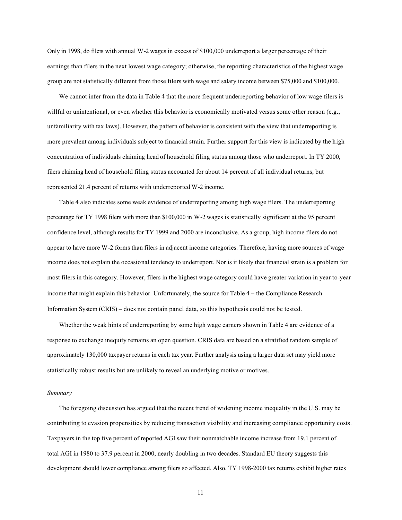Only in 1998, do filers with annual W-2 wages in excess of \$100,000 underreport a larger percentage of their earnings than filers in the next lowest wage category; otherwise, the reporting characteristics of the highest wage group are not statistically different from those filers with wage and salary income between \$75,000 and \$100,000.

We cannot infer from the data in Table 4 that the more frequent underreporting behavior of low wage filers is willful or unintentional, or even whether this behavior is economically motivated versus some other reason (e.g., unfamiliarity with tax laws). However, the pattern of behavior is consistent with the view that underreporting is more prevalent among individuals subject to financial strain. Further support for this view is indicated by the high concentration of individuals claiming head of household filing status among those who underreport. In TY 2000, filers claiming head of household filing status accounted for about 14 percent of all individual returns, but represented 21.4 percent of returns with underreported W-2 income.

Table 4 also indicates some weak evidence of underreporting among high wage filers. The underreporting percentage for TY 1998 filers with more than \$100,000 in W-2 wages is statistically significant at the 95 percent confidence level, although results for TY 1999 and 2000 are inconclusive. As a group, high income filers do not appear to have more W-2 forms than filers in adjacent income categories. Therefore, having more sources of wage income does not explain the occasional tendency to underreport. Nor is it likely that financial strain is a problem for most filers in this category. However, filers in the highest wage category could have greater variation in year-to-year income that might explain this behavior. Unfortunately, the source for Table 4 − the Compliance Research Information System (CRIS) − does not contain panel data, so this hypothesis could not be tested.

Whether the weak hints of underreporting by some high wage earners shown in Table 4 are evidence of a response to exchange inequity remains an open question. CRIS data are based on a stratified random sample of approximately 130,000 taxpayer returns in each tax year. Further analysis using a larger data set may yield more statistically robust results but are unlikely to reveal an underlying motive or motives.

#### *Summary*

The foregoing discussion has argued that the recent trend of widening income inequality in the U.S. may be contributing to evasion propensities by reducing transaction visibility and increasing compliance opportunity costs. Taxpayers in the top five percent of reported AGI saw their nonmatchable income increase from 19.1 percent of total AGI in 1980 to 37.9 percent in 2000, nearly doubling in two decades. Standard EU theory suggests this development should lower compliance among filers so affected. Also, TY 1998-2000 tax returns exhibit higher rates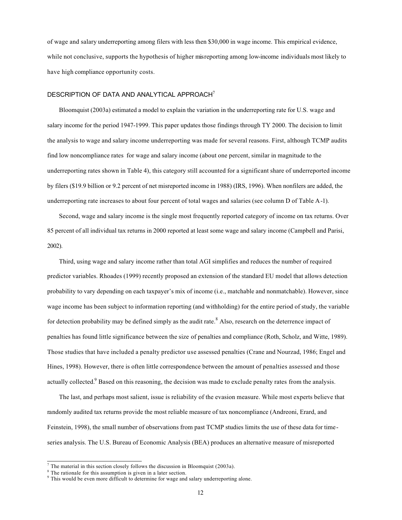of wage and salary underreporting among filers with less then \$30,000 in wage income. This empirical evidence, while not conclusive, supports the hypothesis of higher misreporting among low-income individuals most likely to have high compliance opportunity costs.

#### DESCRIPTION OF DATA AND ANALYTICAL APPROACH<sup>7</sup>

Bloomquist (2003a) estimated a model to explain the variation in the underreporting rate for U.S. wage and salary income for the period 1947-1999. This paper updates those findings through TY 2000. The decision to limit the analysis to wage and salary income underreporting was made for several reasons. First, although TCMP audits find low noncompliance rates for wage and salary income (about one percent, similar in magnitude to the underreporting rates shown in Table 4), this category still accounted for a significant share of underreported income by filers (\$19.9 billion or 9.2 percent of net misreported income in 1988) (IRS, 1996). When nonfilers are added, the underreporting rate increases to about four percent of total wages and salaries (see column D of Table A-1).

Second, wage and salary income is the single most frequently reported category of income on tax returns. Over 85 percent of all individual tax returns in 2000 reported at least some wage and salary income (Campbell and Parisi, 2002).

Third, using wage and salary income rather than total AGI simplifies and reduces the number of required predictor variables. Rhoades (1999) recently proposed an extension of the standard EU model that allows detection probability to vary depending on each taxpayer's mix of income (i.e., matchable and nonmatchable). However, since wage income has been subject to information reporting (and withholding) for the entire period of study, the variable for detection probability may be defined simply as the audit rate.<sup>8</sup> Also, research on the deterrence impact of penalties has found little significance between the size of penalties and compliance (Roth, Scholz, and Witte, 1989). Those studies that have included a penalty predictor use assessed penalties (Crane and Nourzad, 1986; Engel and Hines, 1998). However, there is often little correspondence between the amount of penalties assessed and those actually collected.<sup>9</sup> Based on this reasoning, the decision was made to exclude penalty rates from the analysis.

The last, and perhaps most salient, issue is reliability of the evasion measure. While most experts believe that randomly audited tax returns provide the most reliable measure of tax noncompliance (Andreoni, Erard, and Feinstein, 1998), the small number of observations from past TCMP studies limits the use of these data for timeseries analysis. The U.S. Bureau of Economic Analysis (BEA) produces an alternative measure of misreported

 $<sup>7</sup>$  The material in this section closely follows the discussion in Bloomquist (2003a).</sup>

 $<sup>8</sup>$  The rationale for this assumption is given in a later section.</sup>

<sup>&</sup>lt;sup>9</sup> This would be even more difficult to determine for wage and salary underreporting alone.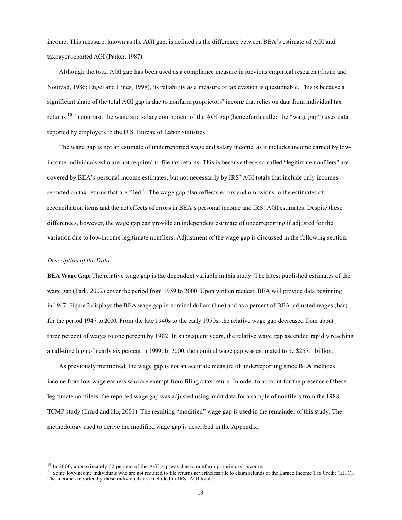income. This measure, known as the AGI gap, is defined as the difference between BEA's estimate of AGI and taxpayer-reported AGI (Parker, 1987).

Although the total AGI gap has been used as a compliance measure in previous empirical research (Crane and Nourzad, 1986; Engel and Hines, 1998), its reliability as a measure of tax evasion is questionable. This is because a significant share of the total AGI gap is due to nonfarm proprietors' income that relies on data from individual tax returns.<sup>10</sup> In contrast, the wage and salary component of the AGI gap (henceforth called the "wage gap") uses data reported by employers to the U.S. Bureau of Labor Statistics.

The wage gap is not an estimate of underreported wage and salary income, as it includes income earned by lowincome individuals who are not required to file tax returns. This is because these so-called "legitimate nonfilers" are covered by BEA's personal income estimates, but not necessarily by IRS' AGI totals that include only incomes reported on tax returns that are filed.<sup>11</sup> The wage gap also reflects errors and omissions in the estimates of reconciliation items and the net effects of errors in BEA's personal income and IRS' AGI estimates. Despite these differences, however, the wage gap can provide an independent estimate of underreporting if adjusted for the variation due to low-income legitimate nonfilers. Adjustment of the wage gap is discussed in the following section.

#### *Description of the Data*

**BEA Wage Gap**: The relative wage gap is the dependent variable in this study. The latest published estimates of the wage gap (Park, 2002) cover the period from 1959 to 2000. Upon written request, BEA will provide data beginning in 1947. Figure 2 displays the BEA wage gap in nominal dollars (line) and as a percent of BEA -adjusted wages (bar) for the period 1947 to 2000. From the late 1940s to the early 1950s, the relative wage gap decreased from about three percent of wages to one percent by 1982. In subsequent years, the relative wage gap ascended rapidly reaching an all-time high of nearly six percent in 1999. In 2000, the nominal wage gap was estimated to be \$257.1 billion.

As previously mentioned, the wage gap is not an accurate measure of underreporting since BEA includes income from low-wage earners who are exempt from filing a tax return. In order to account for the presence of these legitimate nonfilers, the reported wage gap was adjusted using audit data for a sample of nonfilers from the 1988 TCMP study (Erard and Ho, 2001). The resulting "modified" wage gap is used in the remainder of this study. The methodology used to derive the modified wage gap is described in the Appendix.

<sup>&</sup>lt;sup>10</sup> In 2000, approximately 52 percent of the AGI gap was due to nonfarm proprietors' income.

<sup>&</sup>lt;sup>11</sup> Some low-income individuals who are not required to file returns nevertheless file to claim refunds or the Earned Income Tax Credit (EITC). The incomes reported by these individuals are included in IRS' AGI totals.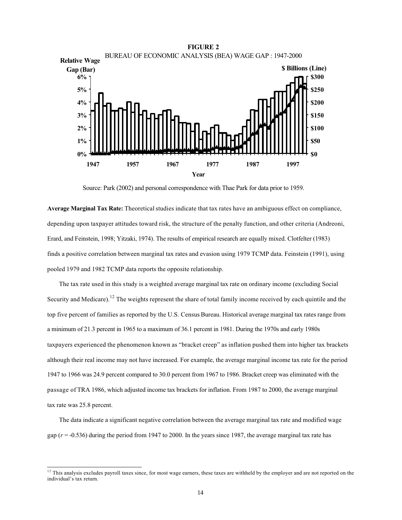

Source: Park (2002) and personal correspondence with Thae Park for data prior to 1959.

**Average Marginal Tax Rate:** Theoretical studies indicate that tax rates have an ambiguous effect on compliance, depending upon taxpayer attitudes toward risk, the structure of the penalty function, and other criteria (Andreoni, Erard, and Feinstein, 1998; Yitzaki, 1974). The results of empirical research are equally mixed. Clotfelter (1983) finds a positive correlation between marginal tax rates and evasion using 1979 TCMP data. Feinstein (1991), using pooled 1979 and 1982 TCMP data reports the opposite relationship.

The tax rate used in this study is a weighted average marginal tax rate on ordinary income (excluding Social Security and Medicare).<sup>12</sup> The weights represent the share of total family income received by each quintile and the top five percent of families as reported by the U.S. Census Bureau. Historical average marginal tax rates range from a minimum of 21.3 percent in 1965 to a maximum of 36.1 percent in 1981. During the 1970s and early 1980s taxpayers experienced the phenomenon known as "bracket creep" as inflation pushed them into higher tax brackets although their real income may not have increased. For example, the average marginal income tax rate for the period 1947 to 1966 was 24.9 percent compared to 30.0 percent from 1967 to 1986. Bracket creep was eliminated with the passage of TRA 1986, which adjusted income tax brackets for inflation. From 1987 to 2000, the average marginal tax rate was 25.8 percent.

The data indicate a significant negative correlation between the average marginal tax rate and modified wage gap  $(r = -0.536)$  during the period from 1947 to 2000. In the years since 1987, the average marginal tax rate has

<sup>&</sup>lt;sup>12</sup> This analysis excludes payroll taxes since, for most wage earners, these taxes are withheld by the employer and are not reported on the individual's tax return.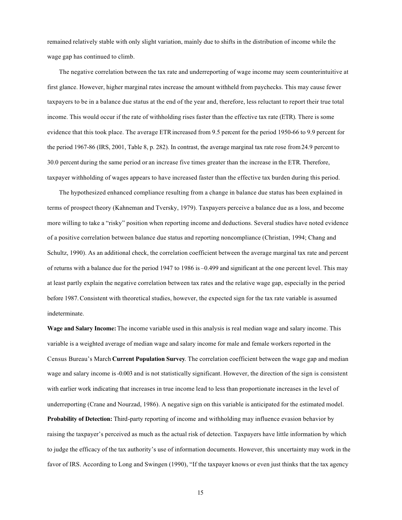remained relatively stable with only slight variation, mainly due to shifts in the distribution of income while the wage gap has continued to climb.

The negative correlation between the tax rate and underreporting of wage income may seem counterintuitive at first glance. However, higher marginal rates increase the amount withheld from paychecks. This may cause fewer taxpayers to be in a balance due status at the end of the year and, therefore, less reluctant to report their true total income. This would occur if the rate of withholding rises faster than the effective tax rate (ETR). There is some evidence that this took place. The average ETR increased from 9.5 percent for the period 1950-66 to 9.9 percent for the period 1967-86 (IRS, 2001, Table 8, p. 282). In contrast, the average marginal tax rate rose from 24.9 percent to 30.0 percent during the same period or an increase five times greater than the increase in the ETR. Therefore, taxpayer withholding of wages appears to have increased faster than the effective tax burden during this period.

The hypothesized enhanced compliance resulting from a change in balance due status has been explained in terms of prospect theory (Kahneman and Tversky, 1979). Taxpayers perceive a balance due as a loss, and become more willing to take a "risky" position when reporting income and deductions. Several studies have noted evidence of a positive correlation between balance due status and reporting noncompliance (Christian, 1994; Chang and Schultz, 1990). As an additional check, the correlation coefficient between the average marginal tax rate and percent of returns with a balance due for the period 1947 to 1986 is –0.499 and significant at the one percent level. This may at least partly explain the negative correlation between tax rates and the relative wage gap, especially in the period before 1987. Consistent with theoretical studies, however, the expected sign for the tax rate variable is assumed indeterminate.

**Wage and Salary Income:** The income variable used in this analysis is real median wage and salary income. This variable is a weighted average of median wage and salary income for male and female workers reported in the Census Bureau's March **Current Population Survey**. The correlation coefficient between the wage gap and median wage and salary income is -0.003 and is not statistically significant. However, the direction of the sign is consistent with earlier work indicating that increases in true income lead to less than proportionate increases in the level of underreporting (Crane and Nourzad, 1986). A negative sign on this variable is anticipated for the estimated model. **Probability of Detection:** Third-party reporting of income and withholding may influence evasion behavior by raising the taxpayer's perceived as much as the actual risk of detection. Taxpayers have little information by which to judge the efficacy of the tax authority's use of information documents. However, this uncertainty may work in the favor of IRS. According to Long and Swingen (1990), "If the taxpayer knows or even just thinks that the tax agency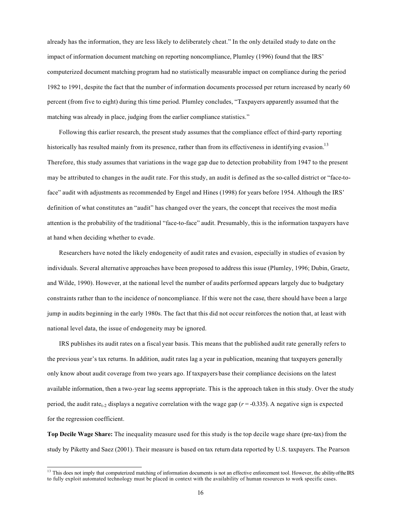already has the information, they are less likely to deliberately cheat." In the only detailed study to date on the impact of information document matching on reporting noncompliance, Plumley (1996) found that the IRS' computerized document matching program had no statistically measurable impact on compliance during the period 1982 to 1991, despite the fact that the number of information documents processed per return increased by nearly 60 percent (from five to eight) during this time period. Plumley concludes, "Taxpayers apparently assumed that the matching was already in place, judging from the earlier compliance statistics."

Following this earlier research, the present study assumes that the compliance effect of third-party reporting historically has resulted mainly from its presence, rather than from its effectiveness in identifying evasion.<sup>13</sup> Therefore, this study assumes that variations in the wage gap due to detection probability from 1947 to the present may be attributed to changes in the audit rate. For this study, an audit is defined as the so-called district or "face-toface" audit with adjustments as recommended by Engel and Hines (1998) for years before 1954. Although the IRS' definition of what constitutes an "audit" has changed over the years, the concept that receives the most media attention is the probability of the traditional "face-to-face" audit. Presumably, this is the information taxpayers have at hand when deciding whether to evade.

Researchers have noted the likely endogeneity of audit rates and evasion, especially in studies of evasion by individuals. Several alternative approaches have been proposed to address this issue (Plumley, 1996; Dubin, Graetz, and Wilde, 1990). However, at the national level the number of audits performed appears largely due to budgetary constraints rather than to the incidence of noncompliance. If this were not the case, there should have been a large jump in audits beginning in the early 1980s. The fact that this did not occur reinforces the notion that, at least with national level data, the issue of endogeneity may be ignored.

IRS publishes its audit rates on a fiscal year basis. This means that the published audit rate generally refers to the previous year's tax returns. In addition, audit rates lag a year in publication, meaning that taxpayers generally only know about audit coverage from two years ago. If taxpayers base their compliance decisions on the latest available information, then a two-year lag seems appropriate. This is the approach taken in this study. Over the study period, the audit rate<sub>t-2</sub> displays a negative correlation with the wage gap ( $r = -0.335$ ). A negative sign is expected for the regression coefficient.

**Top Decile Wage Share:** The inequality measure used for this study is the top decile wage share (pre-tax) from the study by Piketty and Saez (2001). Their measure is based on tax return data reported by U.S. taxpayers. The Pearson

<sup>&</sup>lt;sup>13</sup> This does not imply that computerized matching of information documents is not an effective enforcement tool. However, the ability of the IRS to fully exploit automated technology must be placed in context with the availability of human resources to work specific cases.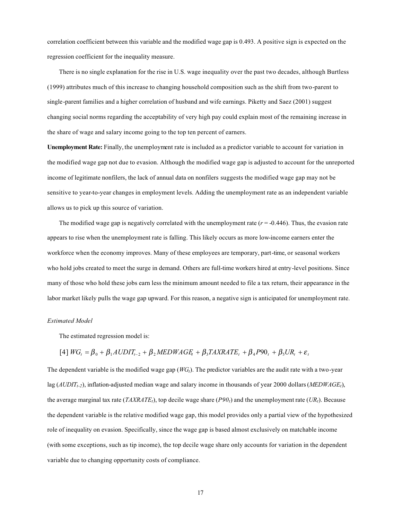correlation coefficient between this variable and the modified wage gap is 0.493. A positive sign is expected on the regression coefficient for the inequality measure.

There is no single explanation for the rise in U.S. wage inequality over the past two decades, although Burtless (1999) attributes much of this increase to changing household composition such as the shift from two-parent to single-parent families and a higher correlation of husband and wife earnings. Piketty and Saez (2001) suggest changing social norms regarding the acceptability of very high pay could explain most of the remaining increase in the share of wage and salary income going to the top ten percent of earners.

**Unemployment Rate:** Finally, the unemployment rate is included as a predictor variable to account for variation in the modified wage gap not due to evasion. Although the modified wage gap is adjusted to account for the unreported income of legitimate nonfilers, the lack of annual data on nonfilers suggests the modified wage gap may not be sensitive to year-to-year changes in employment levels. Adding the unemployment rate as an independent variable allows us to pick up this source of variation.

The modified wage gap is negatively correlated with the unemployment rate  $(r = -0.446)$ . Thus, the evasion rate appears to rise when the unemployment rate is falling. This likely occurs as more low-income earners enter the workforce when the economy improves. Many of these employees are temporary, part-time, or seasonal workers who hold jobs created to meet the surge in demand. Others are full-time workers hired at entry-level positions. Since many of those who hold these jobs earn less the minimum amount needed to file a tax return, their appearance in the labor market likely pulls the wage gap upward. For this reason, a negative sign is anticipated for unemployment rate.

#### *Estimated Model*

The estimated regression model is:

$$
[4] \ WG_t = \beta_0 + \beta_1 AUDIT_{t-2} + \beta_2 MEDWAGE_t + \beta_3 TAXRATE_t + \beta_4 P90_t + \beta_5 UR_t + \varepsilon_t
$$

The dependent variable is the modified wage gap (*WGt*). The predictor variables are the audit rate with a two-year lag (*AUDITt-2*), inflation-adjusted median wage and salary income in thousands of year 2000 dollars (*MEDWAGEt*), the average marginal tax rate (*TAXRATE<sub>t</sub>*), top decile wage share ( $P90<sub>t</sub>$ ) and the unemployment rate ( $UR<sub>t</sub>$ ). Because the dependent variable is the relative modified wage gap, this model provides only a partial view of the hypothesized role of inequality on evasion. Specifically, since the wage gap is based almost exclusively on matchable income (with some exceptions, such as tip income), the top decile wage share only accounts for variation in the dependent variable due to changing opportunity costs of compliance.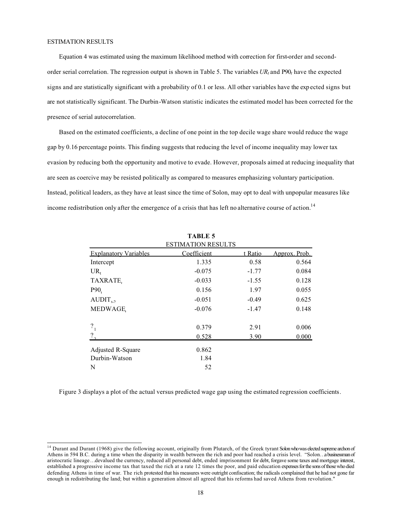Equation 4 was estimated using the maximum likelihood method with correction for first-order and secondorder serial correlation. The regression output is shown in Table 5. The variables  $UR_t$  and  $P90_t$  have the expected signs and are statistically significant with a probability of 0.1 or less. All other variables have the exp ected signs but are not statistically significant. The Durbin-Watson statistic indicates the estimated model has been corrected for the presence of serial autocorrelation.

Based on the estimated coefficients, a decline of one point in the top decile wage share would reduce the wage gap by 0.16 percentage points. This finding suggests that reducing the level of income inequality may lower tax evasion by reducing both the opportunity and motive to evade. However, proposals aimed at reducing inequality that are seen as coercive may be resisted politically as compared to measures emphasizing voluntary participation. Instead, political leaders, as they have at least since the time of Solon, may opt to deal with unpopular measures like income redistribution only after the emergence of a crisis that has left no alternative course of action.<sup>14</sup>

|                              | <b>TABLE 5</b>            |         |               |
|------------------------------|---------------------------|---------|---------------|
|                              | <b>ESTIMATION RESULTS</b> |         |               |
| <b>Explanatory Variables</b> | Coefficient               | t Ratio | Approx. Prob. |
| Intercept                    | 1.335                     | 0.58    | 0.564         |
| $UR_{t}$                     | $-0.075$                  | $-1.77$ | 0.084         |
| TAXRATE.                     | $-0.033$                  | $-1.55$ | 0.128         |
| P90 <sub>t</sub>             | 0.156                     | 1.97    | 0.055         |
| $AUDIT_{t-2}$                | $-0.051$                  | $-0.49$ | 0.625         |
| MEDWAGE,                     | $-0.076$                  | $-1.47$ | 0.148         |
| $\frac{2}{1}$                | 0.379                     | 2.91    | 0.006         |
| $\frac{2}{1}$                | 0.528                     | 3.90    | 0.000         |
| Adjusted R-Square            | 0.862                     |         |               |
| Durbin-Watson                | 1.84                      |         |               |
| N                            | 52                        |         |               |

Figure 3 displays a plot of the actual versus predicted wage gap using the estimated regression coefficients.

<sup>&</sup>lt;sup>14</sup> Durant and Durant (1968) give the following account, originally from Plutarch, of the Greek tyrant Solon who was elected supreme archon of Athens in 594 B.C. during a time when the disparity in wealth between the rich and poor had reached a crisis level. "Solon…a businessman of aristocratic lineage…devalued the currency, reduced all personal debt, ended imprisonment for debt, forgave some taxes and mortgage interest, established a progressive income tax that taxed the rich at a rate 12 times the poor, and paid education expenses for the sons of those who died defending Athens in time of war. The rich protested that his measures were outright confiscation; the radicals complained that he had not gone far enough in redistributing the land; but within a generation almost all agreed that his reforms had saved Athens from revolution."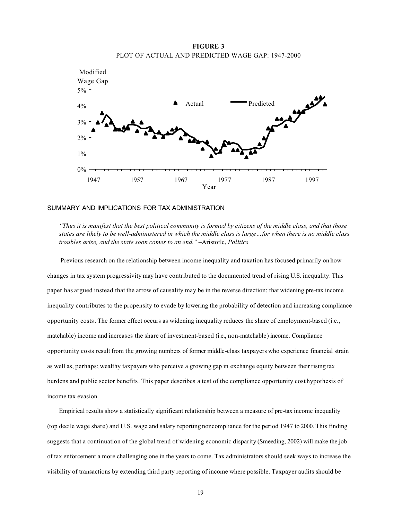**FIGURE 3** PLOT OF ACTUAL AND PREDICTED WAGE GAP: 1947-2000



## SUMMARY AND IMPLICATIONS FOR TAX ADMINISTRATION

*"Thus it is manifest that the best political community is formed by citizens of the middle class, and that those states are likely to be well-administered in which the middle class is large…for when there is no middle class troubles arise, and the state soon comes to an end."* −Aristotle, *Politics*

Previous research on the relationship between income inequality and taxation has focused primarily on how changes in tax system progressivity may have contributed to the documented trend of rising U.S. inequality. This paper has argued instead that the arrow of causality may be in the reverse direction; that widening pre-tax income inequality contributes to the propensity to evade by lowering the probability of detection and increasing compliance opportunity costs. The former effect occurs as widening inequality reduces the share of employment-based (i.e., matchable) income and increases the share of investment-based (i.e., non-matchable) income. Compliance opportunity costs result from the growing numbers of former middle-class taxpayers who experience financial strain as well as, perhaps; wealthy taxpayers who perceive a growing gap in exchange equity between their rising tax burdens and public sector benefits. This paper describes a test of the compliance opportunity cost hypothesis of income tax evasion.

Empirical results show a statistically significant relationship between a measure of pre-tax income inequality (top decile wage share) and U.S. wage and salary reporting noncompliance for the period 1947 to 2000. This finding suggests that a continuation of the global trend of widening economic disparity (Smeeding, 2002) will make the job of tax enforcement a more challenging one in the years to come. Tax administrators should seek ways to increase the visibility of transactions by extending third party reporting of income where possible. Taxpayer audits should be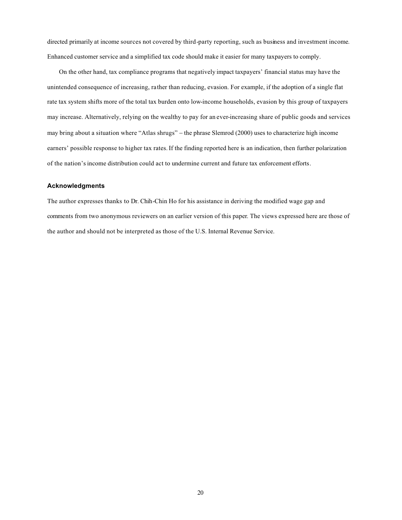directed primarily at income sources not covered by third-party reporting, such as business and investment income. Enhanced customer service and a simplified tax code should make it easier for many taxpayers to comply.

On the other hand, tax compliance programs that negatively impact taxpayers' financial status may have the unintended consequence of increasing, rather than reducing, evasion. For example, if the adoption of a single flat rate tax system shifts more of the total tax burden onto low-income households, evasion by this group of taxpayers may increase. Alternatively, relying on the wealthy to pay for an ever-increasing share of public goods and services may bring about a situation where "Atlas shrugs" − the phrase Slemrod (2000) uses to characterize high income earners' possible response to higher tax rates. If the finding reported here is an indication, then further polarization of the nation's income distribution could act to undermine current and future tax enforcement efforts.

# **Acknowledgments**

The author expresses thanks to Dr. Chih-Chin Ho for his assistance in deriving the modified wage gap and comments from two anonymous reviewers on an earlier version of this paper. The views expressed here are those of the author and should not be interpreted as those of the U.S. Internal Revenue Service.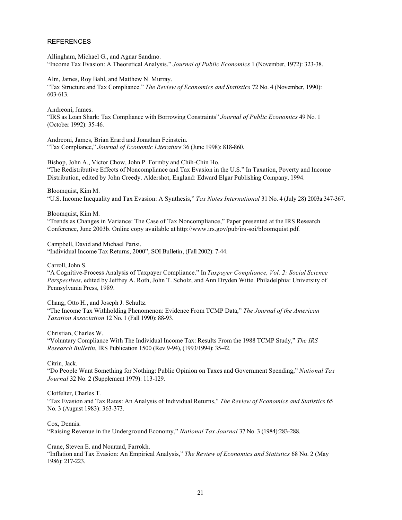# **REFERENCES**

Allingham, Michael G., and Agnar Sandmo. "Income Tax Evasion: A Theoretical Analysis." *Journal of Public Economics* 1 (November, 1972): 323-38.

Alm, James, Roy Bahl, and Matthew N. Murray. "Tax Structure and Tax Compliance." *The Review of Economics and Statistics* 72 No. 4 (November, 1990): 603-613.

Andreoni, James. "IRS as Loan Shark: Tax Compliance with Borrowing Constraints" *Journal of Public Economics* 49 No. 1 (October 1992): 35-46.

Andreoni, James, Brian Erard and Jonathan Feinstein. "Tax Compliance," *Journal of Economic Literature* 36 (June 1998): 818-860.

Bishop, John A., Victor Chow, John P. Formby and Chih-Chin Ho. "The Redistributive Effects of Noncompliance and Tax Evasion in the U.S." In Taxation, Poverty and Income Distribution, edited by John Creedy. Aldershot, England: Edward Elgar Publishing Company, 1994.

Bloomquist, Kim M.

"U.S. Income Inequality and Tax Evasion: A Synthesis," *Tax Notes International* 31 No. 4 (July 28) 2003a:347-367.

Bloomquist, Kim M.

"Trends as Changes in Variance: The Case of Tax Noncompliance," Paper presented at the IRS Research Conference, June 2003b. Online copy available at http://www.irs.gov/pub/irs-soi/bloomquist.pdf.

Campbell, David and Michael Parisi.

"Individual Income Tax Returns, 2000", SOI Bulletin, (Fall 2002): 7-44.

Carroll, John S.

"A Cognitive-Process Analysis of Taxpayer Compliance." In *Taxpayer Compliance, Vol. 2: Social Science Perspectives*, edited by Jeffrey A. Roth, John T. Scholz, and Ann Dryden Witte. Philadelphia: University of Pennsylvania Press, 1989.

Chang, Otto H., and Joseph J. Schultz. "The Income Tax Withholding Phenomenon: Evidence From TCMP Data," *The Journal of the American Taxation Association* 12 No. 1 (Fall 1990): 88-93.

Christian, Charles W.

"Voluntary Compliance With The Individual Income Tax: Results From the 1988 TCMP Study," *The IRS Research Bulletin*, IRS Publication 1500 (Rev.9-94), (1993/1994): 35-42.

Citrin, Jack.

"Do People Want Something for Nothing: Public Opinion on Taxes and Government Spending," *National Tax Journal* 32 No. 2 (Supplement 1979): 113-129.

Clotfelter, Charles T.

"Tax Evasion and Tax Rates: An Analysis of Individual Returns," *The Review of Economics and Statistics* 65 No. 3 (August 1983): 363-373.

Cox, Dennis.

"Raising Revenue in the Underground Economy," *National Tax Journal* 37 No. 3 (1984):283-288.

Crane, Steven E. and Nourzad, Farrokh.

"Inflation and Tax Evasion: An Empirical Analysis," *The Review of Economics and Statistics* 68 No. 2 (May 1986): 217-223.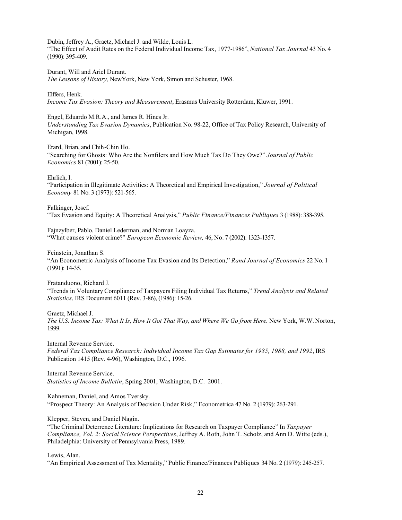Dubin, Jeffrey A., Graetz, Michael J. and Wilde, Louis L.

"The Effect of Audit Rates on the Federal Individual Income Tax, 1977-1986", *National Tax Journal* 43 No. 4 (1990): 395-409.

Durant, Will and Ariel Durant.

*The Lessons of History,* NewYork, New York, Simon and Schuster, 1968.

Elffers, Henk.

*Income Tax Evasion: Theory and Measurement*, Erasmus University Rotterdam, Kluwer, 1991.

Engel, Eduardo M.R.A., and James R. Hines Jr.

*Understanding Tax Evasion Dynamics*, Publication No. 98-22, Office of Tax Policy Research, University of Michigan, 1998.

Erard, Brian, and Chih-Chin Ho.

"Searching for Ghosts: Who Are the Nonfilers and How Much Tax Do They Owe?" *Journal of Public Economics* 81 (2001): 25-50.

Ehrlich, I.

"Participation in Illegitimate Activities: A Theoretical and Empirical Investigation," *Journal of Political Economy* 81 No. 3 (1973): 521-565.

Falkinger, Josef. "Tax Evasion and Equity: A Theoretical Analysis," *Public Finance/Finances Publiques* 3 (1988): 388-395.

Fajnzylber, Pablo, Daniel Lederman, and Norman Loayza. "What causes violent crime?" *European Economic Review,* 46, No. 7 (2002): 1323-1357.

Feinstein, Jonathan S. "An Econometric Analysis of Income Tax Evasion and Its Detection," *Rand Journal of Economics* 22 No. 1 (1991): 14-35.

Fratanduono, Richard J.

"Trends in Voluntary Compliance of Taxpayers Filing Individual Tax Returns," *Trend Analysis and Related Statistics*, IRS Document 6011 (Rev. 3-86), (1986): 15-26.

Graetz, Michael J. *The U.S. Income Tax: What It Is, How It Got That Way, and Where We Go from Here.* New York, W.W. Norton, 1999.

Internal Revenue Service.

*Federal Tax Compliance Research: Individual Income Tax Gap Estimates for 1985, 1988, and 1992*, IRS Publication 1415 (Rev. 4-96), Washington, D.C., 1996.

Internal Revenue Service. *Statistics of Income Bulletin*, Spring 2001, Washington, D.C. 2001.

Kahneman, Daniel, and Amos Tversky.

"Prospect Theory: An Analysis of Decision Under Risk," Econometrica 47 No. 2 (1979): 263-291.

Klepper, Steven, and Daniel Nagin.

"The Criminal Deterrence Literature: Implications for Research on Taxpayer Compliance" In *Taxpayer Compliance, Vol. 2: Social Science Perspectives*, Jeffrey A. Roth, John T. Scholz, and Ann D. Witte (eds.), Philadelphia: University of Pennsylvania Press, 1989.

Lewis, Alan.

"An Empirical Assessment of Tax Mentality," Public Finance/Finances Publiques 34 No. 2 (1979): 245-257.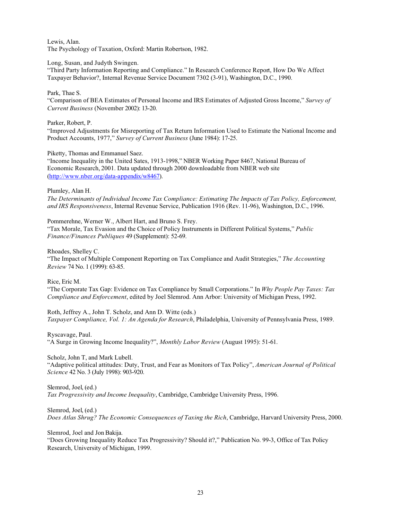Lewis, Alan. The Psychology of Taxation, Oxford: Martin Robertson, 1982.

# Long, Susan, and Judyth Swingen.

"Third Party Information Reporting and Compliance." In Research Conference Report, How Do We Affect Taxpayer Behavior?, Internal Revenue Service Document 7302 (3-91), Washington, D.C., 1990.

# Park, Thae S.

"Comparison of BEA Estimates of Personal Income and IRS Estimates of Adjusted Gross Income," *Survey of Current Business* (November 2002): 13-20.

# Parker, Robert, P.

"Improved Adjustments for Misreporting of Tax Return Information Used to Estimate the National Income and Product Accounts, 1977," *Survey of Current Business* (June 1984): 17-25.

# Piketty, Thomas and Emmanuel Saez.

"Income Inequality in the United Sates, 1913-1998," NBER Working Paper 8467, National Bureau of Economic Research, 2001. Data updated through 2000 downloadable from NBER web site (http://www.nber.org/data-appendix/w8467).

# Plumley, Alan H.

*The Determinants of Individual Income Tax Compliance: Estimating The Impacts of Tax Policy, Enforcement, and IRS Responsiveness*, Internal Revenue Service, Publication 1916 (Rev. 11-96), Washington, D.C., 1996.

Pommerehne, Werner W., Albert Hart, and Bruno S. Frey. "Tax Morale, Tax Evasion and the Choice of Policy Instruments in Different Political Systems," *Public Finance/Finances Publiques* 49 (Supplement): 52-69.

Rhoades, Shelley C.

"The Impact of Multiple Component Reporting on Tax Compliance and Audit Strategies," *The Accounting Review* 74 No. 1 (1999): 63-85.

Rice, Eric M.

"The Corporate Tax Gap: Evidence on Tax Compliance by Small Corporations." In *Why People Pay Taxes: Tax Compliance and Enforcement*, edited by Joel Slemrod. Ann Arbor: University of Michigan Press, 1992.

Roth, Jeffrey A., John T. Scholz, and Ann D. Witte (eds.) *Taxpayer Compliance, Vol. 1: An Agenda for Research*, Philadelphia, University of Pennsylvania Press, 1989.

Ryscavage, Paul.

"A Surge in Growing Income Inequality?", *Monthly Labor Review* (August 1995): 51-61.

Scholz, John T, and Mark Lubell.

"Adaptive political attitudes: Duty, Trust, and Fear as Monitors of Tax Policy", *American Journal of Political Science* 42 No. 3 (July 1998): 903-920.

Slemrod, Joel, (ed.) *Tax Progressivity and Income Inequality*, Cambridge, Cambridge University Press, 1996.

Slemrod, Joel, (ed.) *Does Atlas Shrug? The Economic Consequences of Taxing the Rich*, Cambridge, Harvard University Press, 2000.

Slemrod, Joel and Jon Bakija.

"Does Growing Inequality Reduce Tax Progressivity? Should it?," Publication No. 99-3, Office of Tax Policy Research, University of Michigan, 1999.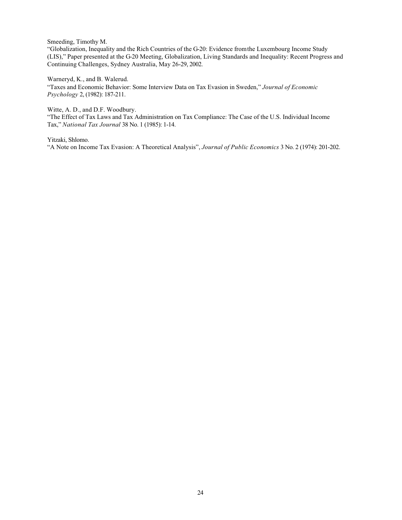Smeeding, Timothy M.

"Globalization, Inequality and the Rich Countries of the G-20: Evidence from the Luxembourg Income Study (LIS)," Paper presented at the G-20 Meeting, Globalization, Living Standards and Inequality: Recent Progress and Continuing Challenges, Sydney Australia, May 26-29, 2002.

Warneryd, K., and B. Walerud.

"Taxes and Economic Behavior: Some Interview Data on Tax Evasion in Sweden," *Journal of Economic Psychology* 2, (1982): 187-211.

Witte, A. D., and D.F. Woodbury.

"The Effect of Tax Laws and Tax Administration on Tax Compliance: The Case of the U.S. Individual Income Tax," *National Tax Journal* 38 No. 1 (1985): 1-14.

Yitzaki, Shlomo.

"A Note on Income Tax Evasion: A Theoretical Analysis", *Journal of Public Economics* 3 No. 2 (1974): 201-202.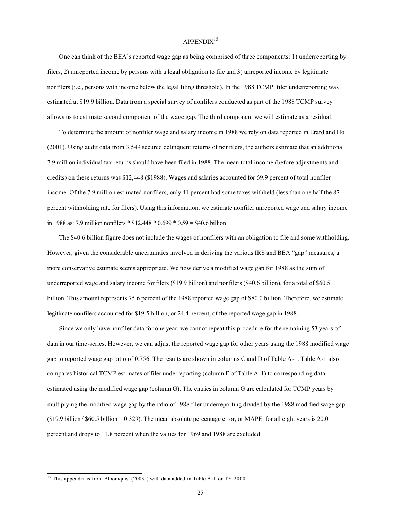# $APPENDIX<sup>15</sup>$

One can think of the BEA's reported wage gap as being comprised of three components: 1) underreporting by filers, 2) unreported income by persons with a legal obligation to file and 3) unreported income by legitimate nonfilers (i.e., persons with income below the legal filing threshold). In the 1988 TCMP, filer underreporting was estimated at \$19.9 billion. Data from a special survey of nonfilers conducted as part of the 1988 TCMP survey allows us to estimate second component of the wage gap. The third component we will estimate as a residual.

To determine the amount of nonfiler wage and salary income in 1988 we rely on data reported in Erard and Ho (2001). Using audit data from 3,549 secured delinquent returns of nonfilers, the authors estimate that an additional 7.9 million individual tax returns should have been filed in 1988. The mean total income (before adjustments and credits) on these returns was \$12,448 (\$1988). Wages and salaries accounted for 69.9 percent of total nonfiler income. Of the 7.9 million estimated nonfilers, only 41 percent had some taxes withheld (less than one half the 87 percent withholding rate for filers). Using this information, we estimate nonfiler unreported wage and salary income in 1988 as: 7.9 million nonfilers \* \$12,448 \* 0.699 \* 0.59 = \$40.6 billion

The \$40.6 billion figure does not include the wages of nonfilers with an obligation to file and some withholding. However, given the considerable uncertainties involved in deriving the various IRS and BEA "gap" measures, a more conservative estimate seems appropriate. We now derive a modified wage gap for 1988 as the sum of underreported wage and salary income for filers (\$19.9 billion) and nonfilers (\$40.6 billion), for a total of \$60.5 billion. This amount represents 75.6 percent of the 1988 reported wage gap of \$80.0 billion. Therefore, we estimate legitimate nonfilers accounted for \$19.5 billion, or 24.4 percent, of the reported wage gap in 1988.

Since we only have nonfiler data for one year, we cannot repeat this procedure for the remaining 53 years of data in our time-series. However, we can adjust the reported wage gap for other years using the 1988 modified wage gap to reported wage gap ratio of 0.756. The results are shown in columns C and D of Table A-1. Table A-1 also compares historical TCMP estimates of filer underreporting (column F of Table A-1) to corresponding data estimated using the modified wage gap (column G). The entries in column G are calculated for TCMP years by multiplying the modified wage gap by the ratio of 1988 filer underreporting divided by the 1988 modified wage gap  $$619.9$  billion / \$60.5 billion = 0.329). The mean absolute percentage error, or MAPE, for all eight years is 20.0 percent and drops to 11.8 percent when the values for 1969 and 1988 are excluded.

<sup>&</sup>lt;sup>15</sup> This appendix is from Bloomquist (2003a) with data added in Table A-1 for TY 2000.